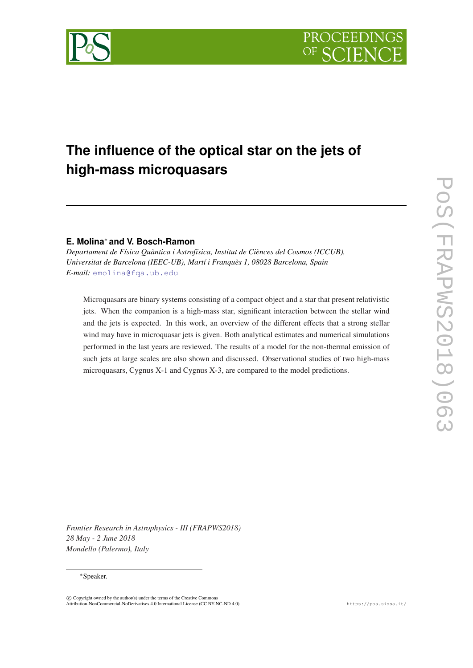



# **The influence of the optical star on the jets of high-mass microquasars**

# **E. Molina**<sup>∗</sup> **and V. Bosch-Ramon**

*Departament de Física Quàntica i Astrofísica, Institut de Ciènces del Cosmos (ICCUB), Universitat de Barcelona (IEEC-UB), Martí i Franquès 1, 08028 Barcelona, Spain E-mail:* [emolina@fqa.ub.edu](mailto:emolina@fqa.ub.edu)

Microquasars are binary systems consisting of a compact object and a star that present relativistic jets. When the companion is a high-mass star, significant interaction between the stellar wind and the jets is expected. In this work, an overview of the different effects that a strong stellar wind may have in microquasar jets is given. Both analytical estimates and numerical simulations performed in the last years are reviewed. The results of a model for the non-thermal emission of such jets at large scales are also shown and discussed. Observational studies of two high-mass microquasars, Cygnus X-1 and Cygnus X-3, are compared to the model predictions.

*Frontier Research in Astrophysics - III (FRAPWS2018) 28 May - 2 June 2018 Mondello (Palermo), Italy*

### <sup>∗</sup>Speaker.

 $\overline{c}$  Copyright owned by the author(s) under the terms of the Creative Common Attribution-NonCommercial-NoDerivatives 4.0 International License (CC BY-NC-ND 4.0). https://pos.sissa.it/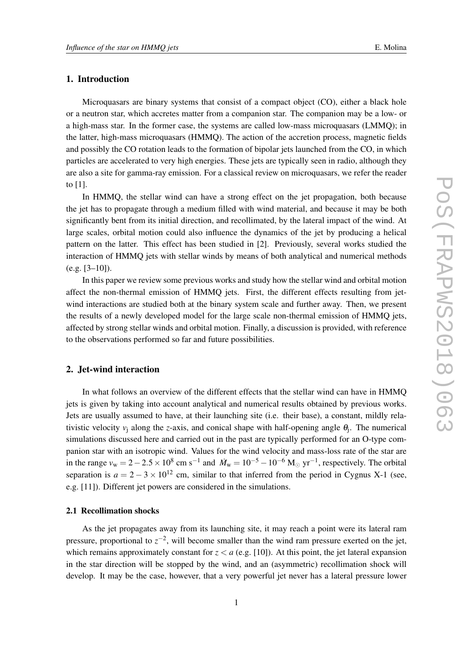# 1. Introduction

Microquasars are binary systems that consist of a compact object (CO), either a black hole or a neutron star, which accretes matter from a companion star. The companion may be a low- or a high-mass star. In the former case, the systems are called low-mass microquasars (LMMQ); in the latter, high-mass microquasars (HMMQ). The action of the accretion process, magnetic fields and possibly the CO rotation leads to the formation of bipolar jets launched from the CO, in which particles are accelerated to very high energies. These jets are typically seen in radio, although they are also a site for gamma-ray emission. For a classical review on microquasars, we refer the reader to [1].

In HMMQ, the stellar wind can have a strong effect on the jet propagation, both because the jet has to propagate through a medium filled with wind material, and because it may be both significantly bent from its initial direction, and recollimated, by the lateral impact of the wind. At large scales, orbital motion could also influence the dynamics of the jet by producing a helical pattern on the latter. This effect has been studied in [2]. Previously, several works studied the interaction of HMMQ jets with stellar winds by means of both analytical and numerical methods  $(e.g. [3-10]).$ 

In this paper we review some previous works and study how the stellar wind and orbital motion affect the non-thermal emission of HMMQ jets. First, the different effects resulting from jetwind interactions are studied both at the binary system scale and further away. Then, we present the results of a newly developed model for the large scale non-thermal emission of HMMQ jets, affected by strong stellar winds and orbital motion. Finally, a discussion is provided, with reference to the observations performed so far and future possibilities.

# 2. Jet-wind interaction

In what follows an overview of the different effects that the stellar wind can have in HMMQ jets is given by taking into account analytical and numerical results obtained by previous works. Jets are usually assumed to have, at their launching site (i.e. their base), a constant, mildly relativistic velocity  $v_j$  along the *z*-axis, and conical shape with half-opening angle  $\theta_j$ . The numerical simulations discussed here and carried out in the past are typically performed for an O-type companion star with an isotropic wind. Values for the wind velocity and mass-loss rate of the star are in the range  $v_w = 2 - 2.5 \times 10^8$  cm s<sup>-1</sup> and  $\dot{M}_w = 10^{-5} - 10^{-6}$  M<sub>o</sub> yr<sup>-1</sup>, respectively. The orbital separation is  $a = 2 - 3 \times 10^{12}$  cm, similar to that inferred from the period in Cygnus X-1 (see, e.g. [11]). Different jet powers are considered in the simulations.

## 2.1 Recollimation shocks

As the jet propagates away from its launching site, it may reach a point were its lateral ram pressure, proportional to  $z^{-2}$ , will become smaller than the wind ram pressure exerted on the jet, which remains approximately constant for  $z < a$  (e.g. [10]). At this point, the jet lateral expansion in the star direction will be stopped by the wind, and an (asymmetric) recollimation shock will develop. It may be the case, however, that a very powerful jet never has a lateral pressure lower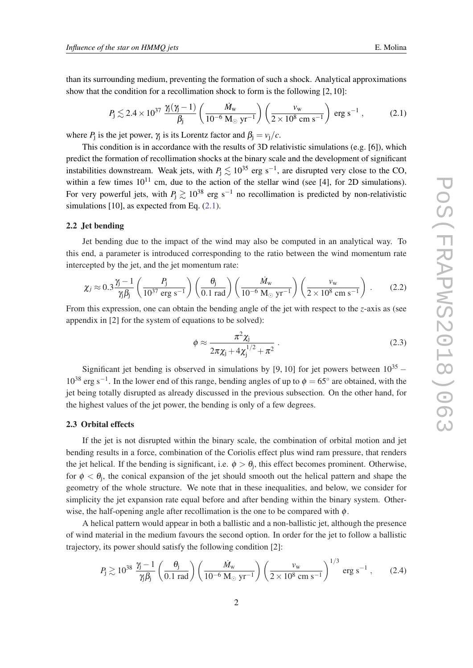<span id="page-2-0"></span>than its surrounding medium, preventing the formation of such a shock. Analytical approximations show that the condition for a recollimation shock to form is the following [2, 10]:

$$
P_{\rm j} \lesssim 2.4 \times 10^{37} \frac{\gamma_{\rm j}(\gamma_{\rm j}-1)}{\beta_{\rm j}} \left(\frac{\dot{M}_{\rm w}}{10^{-6} \,\mathrm{M}_{\odot} \,\mathrm{yr}^{-1}}\right) \left(\frac{v_{\rm w}}{2 \times 10^8 \,\mathrm{cm} \,\mathrm{s}^{-1}}\right) \,\mathrm{erg} \,\mathrm{s}^{-1} \,, \tag{2.1}
$$

where  $P_j$  is the jet power,  $\gamma_j$  is its Lorentz factor and  $\beta_j = v_j/c$ .

This condition is in accordance with the results of 3D relativistic simulations (e.g. [6]), which predict the formation of recollimation shocks at the binary scale and the development of significant instabilities downstream. Weak jets, with  $P_j \lesssim 10^{35}$  erg s<sup>-1</sup>, are disrupted very close to the CO, within a few times  $10^{11}$  cm, due to the action of the stellar wind (see [4], for 2D simulations). For very powerful jets, with  $P_1 \gtrsim 10^{38}$  erg s<sup>-1</sup> no recollimation is predicted by non-relativistic simulations [10], as expected from Eq.  $(2.1)$ .

## 2.2 Jet bending

Jet bending due to the impact of the wind may also be computed in an analytical way. To this end, a parameter is introduced corresponding to the ratio between the wind momentum rate intercepted by the jet, and the jet momentum rate:

$$
\chi_j \approx 0.3 \frac{\gamma_j - 1}{\gamma_j \beta_j} \left( \frac{P_j}{10^{37} \text{ erg s}^{-1}} \right) \left( \frac{\theta_j}{0.1 \text{ rad}} \right) \left( \frac{\dot{M}_w}{10^{-6} \text{ M}_{\odot} \text{ yr}^{-1}} \right) \left( \frac{v_w}{2 \times 10^8 \text{ cm s}^{-1}} \right) . \tag{2.2}
$$

From this expression, one can obtain the bending angle of the jet with respect to the *z*-axis as (see appendix in [2] for the system of equations to be solved):

$$
\phi \approx \frac{\pi^2 \chi_{\rm j}}{2\pi \chi_{\rm j} + 4\chi_{\rm j}^{1/2} + \pi^2} \,. \tag{2.3}
$$

Significant jet bending is observed in simulations by [9, 10] for jet powers between  $10^{35}$  −  $10^{38}$  erg s<sup>-1</sup>. In the lower end of this range, bending angles of up to  $\phi = 65^\circ$  are obtained, with the jet being totally disrupted as already discussed in the previous subsection. On the other hand, for the highest values of the jet power, the bending is only of a few degrees.

#### 2.3 Orbital effects

If the jet is not disrupted within the binary scale, the combination of orbital motion and jet bending results in a force, combination of the Coriolis effect plus wind ram pressure, that renders the jet helical. If the bending is significant, i.e.  $\phi > \theta_j$ , this effect becomes prominent. Otherwise, for  $\phi < \theta_j$ , the conical expansion of the jet should smooth out the helical pattern and shape the geometry of the whole structure. We note that in these inequalities, and below, we consider for simplicity the jet expansion rate equal before and after bending within the binary system. Otherwise, the half-opening angle after recollimation is the one to be compared with  $\phi$ .

A helical pattern would appear in both a ballistic and a non-ballistic jet, although the presence of wind material in the medium favours the second option. In order for the jet to follow a ballistic trajectory, its power should satisfy the following condition [2]:

$$
P_{\rm j} \gtrsim 10^{38} \frac{\gamma_{\rm j} - 1}{\gamma_{\rm j} \beta_{\rm j}} \left( \frac{\theta_{\rm j}}{0.1 \text{ rad}} \right) \left( \frac{\dot{M}_{\rm w}}{10^{-6} \text{ M}_{\odot} \text{ yr}^{-1}} \right) \left( \frac{v_{\rm w}}{2 \times 10^8 \text{ cm s}^{-1}} \right)^{1/3} \text{ erg s}^{-1}, \qquad (2.4)
$$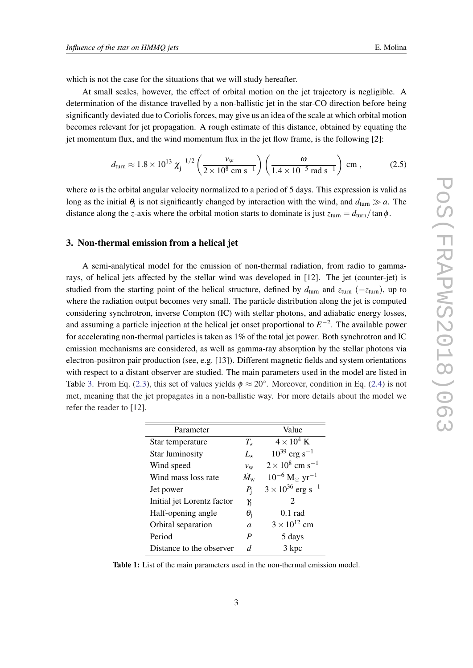<span id="page-3-0"></span>which is not the case for the situations that we will study hereafter.

At small scales, however, the effect of orbital motion on the jet trajectory is negligible. A determination of the distance travelled by a non-ballistic jet in the star-CO direction before being significantly deviated due to Coriolis forces, may give us an idea of the scale at which orbital motion becomes relevant for jet propagation. A rough estimate of this distance, obtained by equating the jet momentum flux, and the wind momentum flux in the jet flow frame, is the following [2]:

$$
d_{\text{turn}} \approx 1.8 \times 10^{13} \ \chi_{\text{j}}^{-1/2} \left( \frac{v_{\text{w}}}{2 \times 10^8 \ \text{cm s}^{-1}} \right) \left( \frac{\omega}{1.4 \times 10^{-5} \ \text{rad s}^{-1}} \right) \ \text{cm} \ , \tag{2.5}
$$

where  $\omega$  is the orbital angular velocity normalized to a period of 5 days. This expression is valid as long as the initial  $\theta_j$  is not significantly changed by interaction with the wind, and  $d_{\text{turn}} \gg a$ . The distance along the *z*-axis where the orbital motion starts to dominate is just  $z_{\text{turn}} = d_{\text{turn}}/\tan \phi$ .

# 3. Non-thermal emission from a helical jet

A semi-analytical model for the emission of non-thermal radiation, from radio to gammarays, of helical jets affected by the stellar wind was developed in [12]. The jet (counter-jet) is studied from the starting point of the helical structure, defined by  $d_{\text{turn}}$  and  $z_{\text{turn}}$  ( $-z_{\text{turn}}$ ), up to where the radiation output becomes very small. The particle distribution along the jet is computed considering synchrotron, inverse Compton (IC) with stellar photons, and adiabatic energy losses, and assuming a particle injection at the helical jet onset proportional to  $E^{-2}$ . The available power for accelerating non-thermal particles is taken as 1% of the total jet power. Both synchrotron and IC emission mechanisms are considered, as well as gamma-ray absorption by the stellar photons via electron-positron pair production (see, e.g. [13]). Different magnetic fields and system orientations with respect to a distant observer are studied. The main parameters used in the model are listed in Table 3. From Eq. ([2.3](#page-2-0)), this set of values yields  $\phi \approx 20^{\circ}$ . Moreover, condition in Eq. [\(2.4](#page-2-0)) is not met, meaning that the jet propagates in a non-ballistic way. For more details about the model we refer the reader to [12].

| Parameter                  |                   | Value                                                      |
|----------------------------|-------------------|------------------------------------------------------------|
| Star temperature           | $T_{\star}$       | $4 \times 10^4$ K                                          |
| <b>Star luminosity</b>     | $L_{\star}$       | $10^{39}$ erg s <sup>-1</sup>                              |
| Wind speed                 | $v_{\rm w}$       | $2 \times 10^8$ cm s <sup>-1</sup>                         |
| Wind mass loss rate        | $\dot{M}_{\rm w}$ | $10^{-6}$ M <sub><math>\odot</math></sub> yr <sup>-1</sup> |
| Jet power                  | $P_{1}$           | $3 \times 10^{36}$ erg s <sup>-1</sup>                     |
| Initial jet Lorentz factor | $\gamma_{\rm j}$  | $\mathcal{D}_{\mathcal{L}}$                                |
| Half-opening angle         | $\theta_i$        | $0.1$ rad                                                  |
| Orbital separation         | $\overline{a}$    | $3 \times 10^{12}$ cm                                      |
| Period                     | P                 | 5 days                                                     |
| Distance to the observer   | d                 | 3 kpc                                                      |
|                            |                   |                                                            |

Table 1: List of the main parameters used in the non-thermal emission model.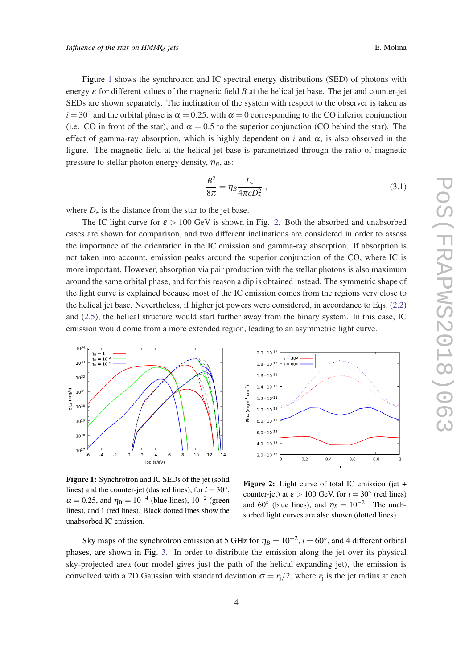Figure 1 shows the synchrotron and IC spectral energy distributions (SED) of photons with energy  $\varepsilon$  for different values of the magnetic field *B* at the helical jet base. The jet and counter-jet SEDs are shown separately. The inclination of the system with respect to the observer is taken as  $i = 30°$  and the orbital phase is  $\alpha = 0.25$ , with  $\alpha = 0$  corresponding to the CO inferior conjunction (i.e. CO in front of the star), and  $\alpha = 0.5$  to the superior conjunction (CO behind the star). The effect of gamma-ray absorption, which is highly dependent on *i* and  $\alpha$ , is also observed in the figure. The magnetic field at the helical jet base is parametrized through the ratio of magnetic pressure to stellar photon energy density,  $\eta_B$ , as:

$$
\frac{B^2}{8\pi} = \eta_B \frac{L_\star}{4\pi c D_\star^2} \,,\tag{3.1}
$$

where  $D_{\star}$  is the distance from the star to the jet base.

The IC light curve for  $\varepsilon > 100$  GeV is shown in Fig. 2. Both the absorbed and unabsorbed cases are shown for comparison, and two different inclinations are considered in order to assess the importance of the orientation in the IC emission and gamma-ray absorption. If absorption is not taken into account, emission peaks around the superior conjunction of the CO, where IC is more important. However, absorption via pair production with the stellar photons is also maximum around the same orbital phase, and for this reason a dip is obtained instead. The symmetric shape of the light curve is explained because most of the IC emission comes from the regions very close to the helical jet base. Nevertheless, if higher jet powers were considered, in accordance to Eqs. ([2.2](#page-2-0)) and [\(2.5\)](#page-3-0), the helical structure would start further away from the binary system. In this case, IC emission would come from a more extended region, leading to an asymmetric light curve.



Figure 1: Synchrotron and IC SEDs of the jet (solid lines) and the counter-jet (dashed lines), for  $i = 30^\circ$ ,  $\alpha = 0.25$ , and  $\eta_B = 10^{-4}$  (blue lines),  $10^{-2}$  (green lines), and 1 (red lines). Black dotted lines show the unabsorbed IC emission.



Figure 2: Light curve of total IC emission (jet + counter-jet) at  $\varepsilon > 100$  GeV, for  $i = 30^\circ$  (red lines) and 60<sup>°</sup> (blue lines), and  $\eta_B = 10^{-2}$ . The unabsorbed light curves are also shown (dotted lines).

Sky maps of the synchrotron emission at 5 GHz for  $\eta_B = 10^{-2}$ ,  $i = 60^{\circ}$ , and 4 different orbital phases, are shown in Fig. [3.](#page-5-0) In order to distribute the emission along the jet over its physical sky-projected area (our model gives just the path of the helical expanding jet), the emission is convolved with a 2D Gaussian with standard deviation  $\sigma = r_j/2$ , where  $r_j$  is the jet radius at each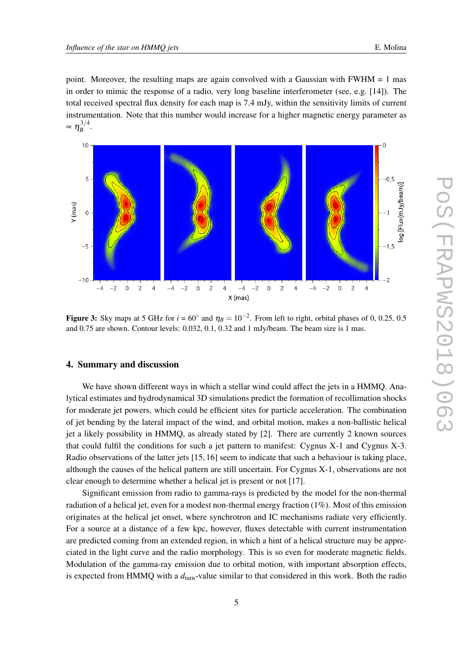<span id="page-5-0"></span>point. Moreover, the resulting maps are again convolved with a Gaussian with FWHM = 1 mas in order to mimic the response of a radio, very long baseline interferometer (see, e.g. [14]). The total received spectral flux density for each map is 7.4 mJy, within the sensitivity limits of current instrumentation. Note that this number would increase for a higher magnetic energy parameter as  $\propto \eta_B^{3/4}$  $B^{\frac{3}{4}}$ .



Figure 3: Sky maps at 5 GHz for  $i = 60^\circ$  and  $\eta_B = 10^{-2}$ . From left to right, orbital phases of 0, 0.25, 0.5 and 0.75 are shown. Contour levels: 0.032, 0.1, 0.32 and 1 mJy/beam. The beam size is 1 mas.

## 4. Summary and discussion

We have shown different ways in which a stellar wind could affect the jets in a HMMQ. Analytical estimates and hydrodynamical 3D simulations predict the formation of recollimation shocks for moderate jet powers, which could be efficient sites for particle acceleration. The combination of jet bending by the lateral impact of the wind, and orbital motion, makes a non-ballistic helical jet a likely possibility in HMMQ, as already stated by [2]. There are currently 2 known sources that could fulfil the conditions for such a jet pattern to manifest: Cygnus X-1 and Cygnus X-3. Radio observations of the latter jets [15, 16] seem to indicate that such a behaviour is taking place, although the causes of the helical pattern are still uncertain. For Cygnus X-1, observations are not clear enough to determine whether a helical jet is present or not [17].

Significant emission from radio to gamma-rays is predicted by the model for the non-thermal radiation of a helical jet, even for a modest non-thermal energy fraction (1%). Most of this emission originates at the helical jet onset, where synchrotron and IC mechanisms radiate very efficiently. For a source at a distance of a few kpc, however, fluxes detectable with current instrumentation are predicted coming from an extended region, in which a hint of a helical structure may be appreciated in the light curve and the radio morphology. This is so even for moderate magnetic fields. Modulation of the gamma-ray emission due to orbital motion, with important absorption effects, is expected from HMMQ with a  $d_{\text{turn}}$ -value similar to that considered in this work. Both the radio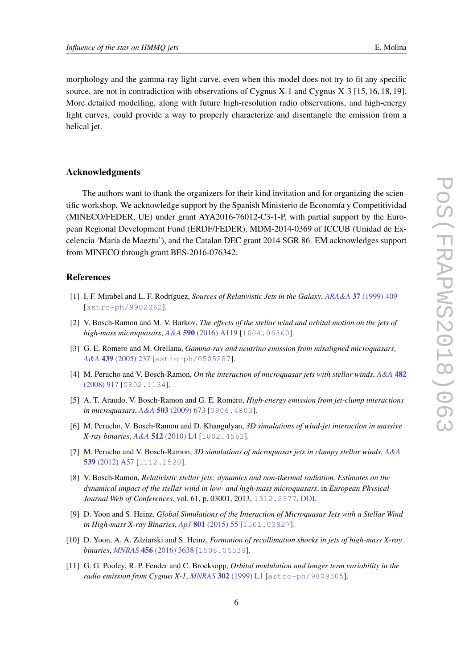morphology and the gamma-ray light curve, even when this model does not try to fit any specific source, are not in contradiction with observations of Cygnus X-1 and Cygnus X-3 [15, 16, 18, 19]. More detailed modelling, along with future high-resolution radio observations, and high-energy light curves, could provide a way to properly characterize and disentangle the emission from a helical jet.

# Acknowledgments

The authors want to thank the organizers for their kind invitation and for organizing the scientific workshop. We acknowledge support by the Spanish Ministerio de Economía y Competitividad (MINECO/FEDER, UE) under grant AYA2016-76012-C3-1-P, with partial support by the European Regional Development Fund (ERDF/FEDER), MDM-2014-0369 of ICCUB (Unidad de Excelencia 'María de Maeztu'), and the Catalan DEC grant 2014 SGR 86. EM acknowledges support from MINECO through grant BES-2016-076342.

# References

- [1] I. F. Mirabel and L. F. Rodríguez, *Sources of Relativistic Jets in the Galaxy*, *ARA&A* 37 [\(1999\) 409](https://doi.org/10.1146/annurev.astro.37.1.409) [[astro-ph/9902062](https://arxiv.org/abs/astro-ph/9902062)].
- [2] V. Bosch-Ramon and M. V. Barkov, *The effects of the stellar wind and orbital motion on the jets of high-mass microquasars*, *A&A* 590 [\(2016\) A119](https://doi.org/10.1051/0004-6361/201628564) [[1604.06360](https://arxiv.org/abs/1604.06360)].
- [3] G. E. Romero and M. Orellana, *Gamma-ray and neutrino emission from misaligned microquasars*, *A&A* 439 [\(2005\) 237](https://doi.org/10.1051/0004-6361:20052664) [[astro-ph/0505287](https://arxiv.org/abs/astro-ph/0505287)].
- [4] M. Perucho and V. Bosch-Ramon, *On the interaction of microquasar jets with stellar winds*, *[A&A](https://doi.org/10.1051/0004-6361:20078929)* 482 [\(2008\) 917](https://doi.org/10.1051/0004-6361:20078929) [[0802.1134](https://arxiv.org/abs/0802.1134)].
- [5] A. T. Araudo, V. Bosch-Ramon and G. E. Romero, *High-energy emission from jet-clump interactions in microquasars*, *A&A* 503 [\(2009\) 673](https://doi.org/10.1051/0004-6361/200811519) [[0906.4803](https://arxiv.org/abs/0906.4803)].
- [6] M. Perucho, V. Bosch-Ramon and D. Khangulyan, *3D simulations of wind-jet interaction in massive X-ray binaries*, *A&A* 512 [\(2010\) L4](https://doi.org/10.1051/0004-6361/201014241) [[1002.4562](https://arxiv.org/abs/1002.4562)].
- [7] M. Perucho and V. Bosch-Ramon, *3D simulations of microquasar jets in clumpy stellar winds*, *[A&A](https://doi.org/10.1051/0004-6361/201118262)* 539 [\(2012\) A57](https://doi.org/10.1051/0004-6361/201118262) [[1112.2520](https://arxiv.org/abs/1112.2520)].
- [8] V. Bosch-Ramon, *Relativistic stellar jets: dynamics and non-thermal radiation. Estimates on the dynamical impact of the stellar wind in low- and high-mass microquasars*, in *European Physical Journal Web of Conferences*, vol. 61, p. 03001, 2013, [1312.2377](https://arxiv.org/abs/1312.2377), [DOI](https://doi.org/10.1051/epjconf/20136103001).
- [9] D. Yoon and S. Heinz, *Global Simulations of the Interaction of Microquasar Jets with a Stellar Wind in High-mass X-ray Binaries*, *ApJ* 801 [\(2015\) 55](https://doi.org/10.1088/0004-637X/801/1/55) [[1501.03827](https://arxiv.org/abs/1501.03827)].
- [10] D. Yoon, A. A. Zdziarski and S. Heinz, *Formation of recollimation shocks in jets of high-mass X-ray binaries*, *MNRAS* 456 [\(2016\) 3638](https://doi.org/10.1093/mnras/stv2954) [[1508.04539](https://arxiv.org/abs/1508.04539)].
- [11] G. G. Pooley, R. P. Fender and C. Brocksopp, *Orbital modulation and longer term variability in the radio emission from Cygnus X-1*, *MNRAS* 302 [\(1999\) L1](https://doi.org/10.1046/j.1365-8711.1999.02225.x) [[astro-ph/9809305](https://arxiv.org/abs/astro-ph/9809305)].